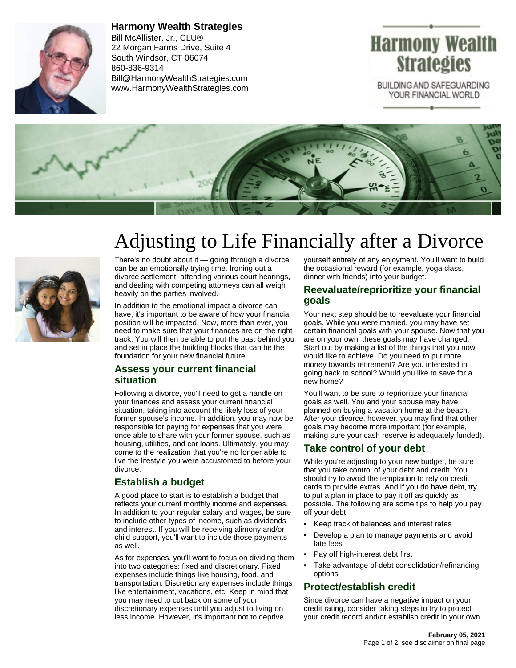

**Harmony Wealth Strategies** Bill McAllister, Jr., CLU® 22 Morgan Farms Drive, Suite 4 South Windsor, CT 06074 860-836-9314 Bill@HarmonyWealthStrategies.com www.HarmonyWealthStrategies.com

# **Harmony Wealth Strategies**

BUILDING AND SAFEGUARDING YOUR FINANCIAL WORLD



# Adjusting to Life Financially after a Divorce



There's no doubt about it  $-$  going through a divorce can be an emotionally trying time. Ironing out a divorce settlement, attending various court hearings, and dealing with competing attorneys can all weigh heavily on the parties involved.

In addition to the emotional impact a divorce can have, it's important to be aware of how your financial position will be impacted. Now, more than ever, you need to make sure that your finances are on the right track. You will then be able to put the past behind you and set in place the building blocks that can be the foundation for your new financial future.

### **Assess your current financial situation**

Following a divorce, you'll need to get a handle on your finances and assess your current financial situation, taking into account the likely loss of your former spouse's income. In addition, you may now be responsible for paying for expenses that you were once able to share with your former spouse, such as housing, utilities, and car loans. Ultimately, you may come to the realization that you're no longer able to live the lifestyle you were accustomed to before your divorce.

# **Establish a budget**

A good place to start is to establish a budget that reflects your current monthly income and expenses. In addition to your regular salary and wages, be sure to include other types of income, such as dividends and interest. If you will be receiving alimony and/or child support, you'll want to include those payments as well.

As for expenses, you'll want to focus on dividing them into two categories: fixed and discretionary. Fixed expenses include things like housing, food, and transportation. Discretionary expenses include things like entertainment, vacations, etc. Keep in mind that you may need to cut back on some of your discretionary expenses until you adjust to living on less income. However, it's important not to deprive

yourself entirely of any enjoyment. You'll want to build the occasional reward (for example, yoga class, dinner with friends) into your budget.

#### **Reevaluate/reprioritize your financial goals**

Your next step should be to reevaluate your financial goals. While you were married, you may have set certain financial goals with your spouse. Now that you are on your own, these goals may have changed. Start out by making a list of the things that you now would like to achieve. Do you need to put more money towards retirement? Are you interested in going back to school? Would you like to save for a new home?

You'll want to be sure to reprioritize your financial goals as well. You and your spouse may have planned on buying a vacation home at the beach. After your divorce, however, you may find that other goals may become more important (for example, making sure your cash reserve is adequately funded).

### **Take control of your debt**

While you're adjusting to your new budget, be sure that you take control of your debt and credit. You should try to avoid the temptation to rely on credit cards to provide extras. And if you do have debt, try to put a plan in place to pay it off as quickly as possible. The following are some tips to help you pay off your debt:

- Keep track of balances and interest rates
- Develop a plan to manage payments and avoid late fees
- Pay off high-interest debt first
- Take advantage of debt consolidation/refinancing options

### **Protect/establish credit**

Since divorce can have a negative impact on your credit rating, consider taking steps to try to protect your credit record and/or establish credit in your own